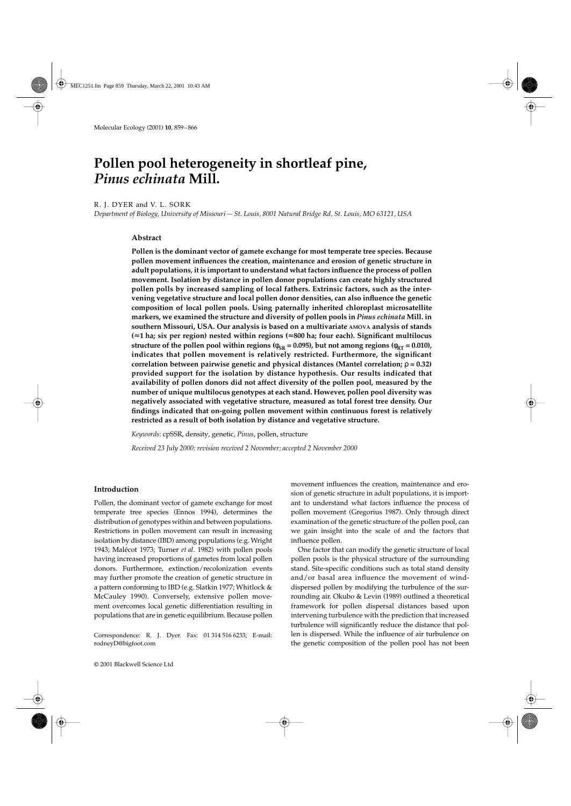# Pollen pool heterogeneity in shortleaf pine, *Pinus echinata* **Mill.**

#### R. J. DYER and V. L. SORK

*Department of Biology, University of Missouri — St. Louis, 8001 Natural Bridge Rd, St. Louis, MO 63121, USA*

# **Abstract**

**Pollen is the dominant vector of gamete exchange for most temperate tree species. Because pollen movement influences the creation, maintenance and erosion of genetic structure in adult populations, it is important to understand what factors influence the process of pollen movement. Isolation by distance in pollen donor populations can create highly structured pollen polls by increased sampling of local fathers. Extrinsic factors, such as the intervening vegetative structure and local pollen donor densities, can also influence the genetic composition of local pollen pools. Using paternally inherited chloroplast microsatellite markers, we examined the structure and diversity of pollen pools in** *Pinus echinata* **Mill. in southern Missouri, USA. Our analysis is based on a multivariate AMOVA analysis of stands (**≈ **1 ha; six per region) nested within regions (**≈ **800 ha; four each). Significant multilocus structure of the pollen pool within regions (** $\phi_{SR}$  = 0.095), but not among regions ( $\phi_{RT}$  = 0.010), **indicates that pollen movement is relatively restricted. Furthermore, the significant correlation between pairwise genetic and physical distances (Mantel correlation;** ρ **= 0.32) provided support for the isolation by distance hypothesis. Our results indicated that availability of pollen donors did not affect diversity of the pollen pool, measured by the number of unique multilocus genotypes at each stand. However, pollen pool diversity was negatively associated with vegetative structure, measured as total forest tree density. Our findings indicated that on-going pollen movement within continuous forest is relatively restricted as a result of both isolation by distance and vegetative structure.**

*Keywords*: cpSSR, density, genetic, *Pinus*, pollen, structure *Received 23 July 2000; revision received 2 November; accepted 2 November 2000*

# **Introduction**

Pollen, the dominant vector of gamete exchange for most temperate tree species (Ennos 1994), determines the distribution of genotypes within and between populations. Restrictions in pollen movement can result in increasing isolation by distance (IBD) among populations (e.g. Wright 1943; Malécot 1973; Turner *et al*. 1982) with pollen pools having increased proportions of gametes from local pollen donors. Furthermore, extinction/recolonization events may further promote the creation of genetic structure in a pattern conforming to IBD (e.g. Slatkin 1977; Whitlock & McCauley 1990). Conversely, extensive pollen movement overcomes local genetic differentiation resulting in populations that are in genetic equilibrium. Because pollen

Correspondence: R. J. Dyer. Fax: 01 314 516 6233; E-mail: rodneyD@bigfoot.com

movement influences the creation, maintenance and erosion of genetic structure in adult populations, it is important to understand what factors influence the process of pollen movement (Gregorius 1987). Only through direct examination of the genetic structure of the pollen pool, can we gain insight into the scale of and the factors that influence pollen.

One factor that can modify the genetic structure of local pollen pools is the physical structure of the surrounding stand. Site-specific conditions such as total stand density and/or basal area influence the movement of winddispersed pollen by modifying the turbulence of the surrounding air. Okubo & Levin (1989) outlined a theoretical framework for pollen dispersal distances based upon intervening turbulence with the prediction that increased turbulence will significantly reduce the distance that pollen is dispersed. While the influence of air turbulence on the genetic composition of the pollen pool has not been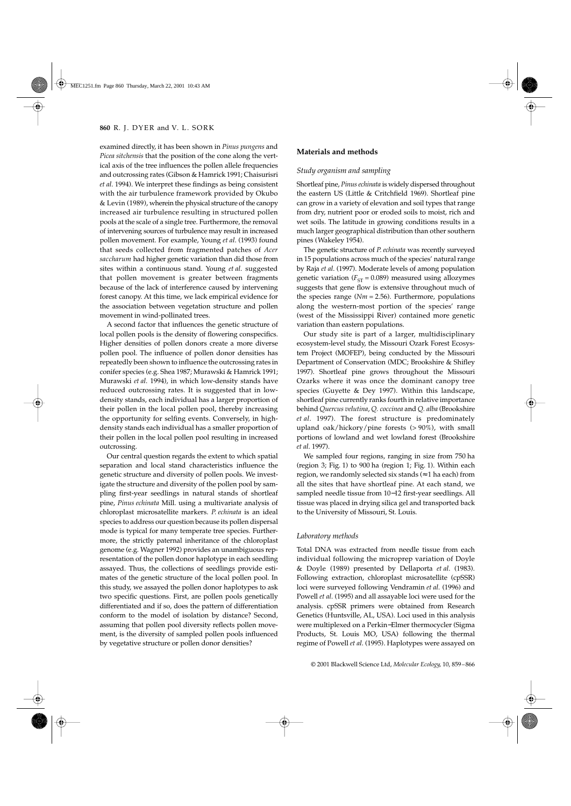examined directly, it has been shown in *Pinus pungens* and *Picea sitchensis* that the position of the cone along the vertical axis of the tree influences the pollen allele frequencies and outcrossing rates (Gibson & Hamrick 1991; Chaisurisri *et al*. 1994). We interpret these findings as being consistent with the air turbulence framework provided by Okubo & Levin (1989), wherein the physical structure of the canopy increased air turbulence resulting in structured pollen pools at the scale of a single tree. Furthermore, the removal of intervening sources of turbulence may result in increased pollen movement. For example, Young *et al*. (1993) found that seeds collected from fragmented patches of *Acer saccharum* had higher genetic variation than did those from sites within a continuous stand. Young *et al*. suggested that pollen movement is greater between fragments because of the lack of interference caused by intervening forest canopy. At this time, we lack empirical evidence for the association between vegetation structure and pollen movement in wind-pollinated trees.

A second factor that influences the genetic structure of local pollen pools is the density of flowering conspecifics. Higher densities of pollen donors create a more diverse pollen pool. The influence of pollen donor densities has repeatedly been shown to influence the outcrossing rates in conifer species (e.g. Shea 1987; Murawski & Hamrick 1991; Murawski *et al*. 1994), in which low-density stands have reduced outcrossing rates. It is suggested that in lowdensity stands, each individual has a larger proportion of their pollen in the local pollen pool, thereby increasing the opportunity for selfing events. Conversely, in highdensity stands each individual has a smaller proportion of their pollen in the local pollen pool resulting in increased outcrossing.

Our central question regards the extent to which spatial separation and local stand characteristics influence the genetic structure and diversity of pollen pools. We investigate the structure and diversity of the pollen pool by sampling first-year seedlings in natural stands of shortleaf pine, *Pinus echinata* Mill. using a multivariate analysis of chloroplast microsatellite markers. *P. echinata* is an ideal species to address our question because its pollen dispersal mode is typical for many temperate tree species. Furthermore, the strictly paternal inheritance of the chloroplast genome (e.g. Wagner 1992) provides an unambiguous representation of the pollen donor haplotype in each seedling assayed. Thus, the collections of seedlings provide estimates of the genetic structure of the local pollen pool. In this study, we assayed the pollen donor haplotypes to ask two specific questions. First, are pollen pools genetically differentiated and if so, does the pattern of differentiation conform to the model of isolation by distance? Second, assuming that pollen pool diversity reflects pollen movement, is the diversity of sampled pollen pools influenced by vegetative structure or pollen donor densities?

# **Materials and methods**

## *Study organism and sampling*

Shortleaf pine, *Pinus echinata* is widely dispersed throughout the eastern US (Little & Critchfield 1969). Shortleaf pine can grow in a variety of elevation and soil types that range from dry, nutrient poor or eroded soils to moist, rich and wet soils. The latitude in growing conditions results in a much larger geographical distribution than other southern pines (Wakeley 1954).

The genetic structure of *P. echinata* was recently surveyed in 15 populations across much of the species' natural range by Raja *et al*. (1997). Moderate levels of among population genetic variation  $(F_{ST} = 0.089)$  measured using allozymes suggests that gene flow is extensive throughout much of the species range (*Nm* = 2.56). Furthermore, populations along the western-most portion of the species' range (west of the Mississippi River) contained more genetic variation than eastern populations.

Our study site is part of a larger, multidisciplinary ecosystem-level study, the Missouri Ozark Forest Ecosystem Project (MOFEP), being conducted by the Missouri Department of Conservation (MDC; Brookshire & Shifley 1997). Shortleaf pine grows throughout the Missouri Ozarks where it was once the dominant canopy tree species (Guyette & Dey 1997). Within this landscape, shortleaf pine currently ranks fourth in relative importance behind *Quercus velutina*, *Q. coccinea* and *Q. alba* (Brookshire *et al*. 1997). The forest structure is predominately upland oak/hickory/pine forests  $(> 90\%)$ , with small portions of lowland and wet lowland forest (Brookshire *et al*. 1997).

We sampled four regions, ranging in size from 750 ha (region 3; Fig. 1) to 900 ha (region 1; Fig. 1). Within each region, we randomly selected six stands ( $\approx$  1 ha each) from all the sites that have shortleaf pine. At each stand, we sampled needle tissue from 10−12 first-year seedlings. All tissue was placed in drying silica gel and transported back to the University of Missouri, St. Louis.

#### *Laboratory methods*

Total DNA was extracted from needle tissue from each individual following the microprep variation of Doyle & Doyle (1989) presented by Dellaporta *et al*. (1983). Following extraction, chloroplast microsatellite (cpSSR) loci were surveyed following Vendramin *et al*. (1996) and Powell *et al*. (1995) and all assayable loci were used for the analysis. cpSSR primers were obtained from Research Genetics (Huntsville, AL, USA). Loci used in this analysis were multiplexed on a Perkin−Elmer thermocycler (Sigma Products, St. Louis MO, USA) following the thermal regime of Powell *et al*. (1995). Haplotypes were assayed on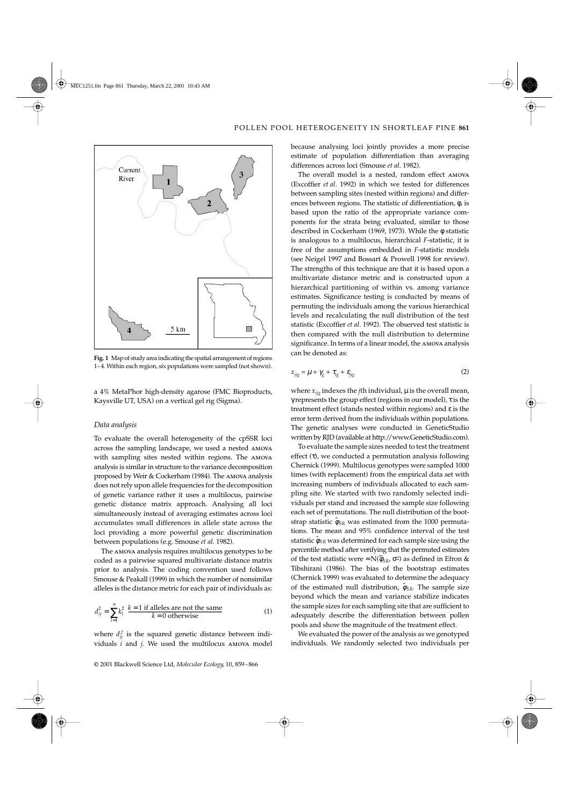

**Fig. 1** Map of study area indicating the spatial arrangement of regions 1–4. Within each region, six populations were sampled (not shown).

a 4% MetaPhor high-density agarose (FMC Bioproducts, Kaysville UT, USA) on a vertical gel rig (Sigma).

#### *Data analysis*

To evaluate the overall heterogeneity of the cpSSR loci across the sampling landscape, we used a nested amova with sampling sites nested within regions. The amova analysis is similar in structure to the variance decomposition proposed by Weir & Cockerham (1984). The amova analysis does not rely upon allele frequencies for the decomposition of genetic variance rather it uses a multilocus, pairwise genetic distance matrix approach. Analysing all loci simultaneously instead of averaging estimates across loci accumulates small differences in allele state across the loci providing a more powerful genetic discrimination between populations (e.g. Smouse *et al*. 1982).

The amova analysis requires multilocus genotypes to be coded as a pairwise squared multivariate distance matrix prior to analysis. The coding convention used follows Smouse & Peakall (1999) in which the number of nonsimilar alleles is the distance metric for each pair of individuals as:

$$
d_{ij}^2 = \sum_{l=1}^n k_l^2 \left\{ \frac{k=1 \text{ if alleles are not the same}}{k=0 \text{ otherwise}} \right\}
$$
 (1)

where  $d_{ij}^2$  is the squared genetic distance between individuals *i* and *j*. We used the multilocus amova model because analysing loci jointly provides a more precise estimate of population differentiation than averaging differences across loci (Smouse *et al*. 1982).

The overall model is a nested, random effect amova (Excoffier *et al*. 1992) in which we tested for differences between sampling sites (nested within regions) and differences between regions. The statistic of differentiation, φ, is based upon the ratio of the appropriate variance components for the strata being evaluated, similar to those described in Cockerham (1969, 1973). While the φ statistic is analogous to a multilocus, hierarchical *F*-statistic, it is free of the assumptions embedded in *F*-statistic models (see Neigel 1997 and Bossart & Prowell 1998 for review). The strengths of this technique are that it is based upon a multivariate distance metric and is constructed upon a hierarchical partitioning of within vs. among variance estimates. Significance testing is conducted by means of permuting the individuals among the various hierarchical levels and recalculating the null distribution of the test statistic (Excoffier *et al*. 1992). The observed test statistic is then compared with the null distribution to determine significance. In terms of a linear model, the amova analysis can be denoted as:

$$
x_{jig} = \mu + \gamma_g + \tau_{ig} + \varepsilon_{jig} \tag{2}
$$

where  $x_{ij}$  indexes the *j*th individual,  $\mu$  is the overall mean, γ represents the group effect (regions in our model), τ is the treatment effect (stands nested within regions) and ε is the error term derived from the individuals within populations. The genetic analyses were conducted in GeneticStudio written by RJD (available at http://www.GeneticStudio.com).

To evaluate the sample sizes needed to test the treatment effect  $(\tau)$ , we conducted a permutation analysis following Chernick (1999). Multilocus genotypes were sampled 1000 times (with replacement) from the empirical data set with increasing numbers of individuals allocated to each sampling site. We started with two randomly selected individuals per stand and increased the sample size following each set of permutations. The null distribution of the bootstrap statistic  $\hat{\phi}_{SR}$  was estimated from the 1000 permutations. The mean and 95% confidence interval of the test statistic  $\hat{\phi}_{SR}$  was determined for each sample size using the percentile method after verifying that the permuted estimates of the test statistic were  $\approx N(\phi_{SR}, \sigma^2)$  as defined in Efron & Tibshirani (1986). The bias of the bootstrap estimates (Chernick 1999) was evaluated to determine the adequacy of the estimated null distribution,  $\hat{\phi}_{SR}$ . The sample size beyond which the mean and variance stabilize indicates the sample sizes for each sampling site that are sufficient to adequately describe the differentiation between pollen pools and show the magnitude of the treatment effect.

We evaluated the power of the analysis as we genotyped individuals. We randomly selected two individuals per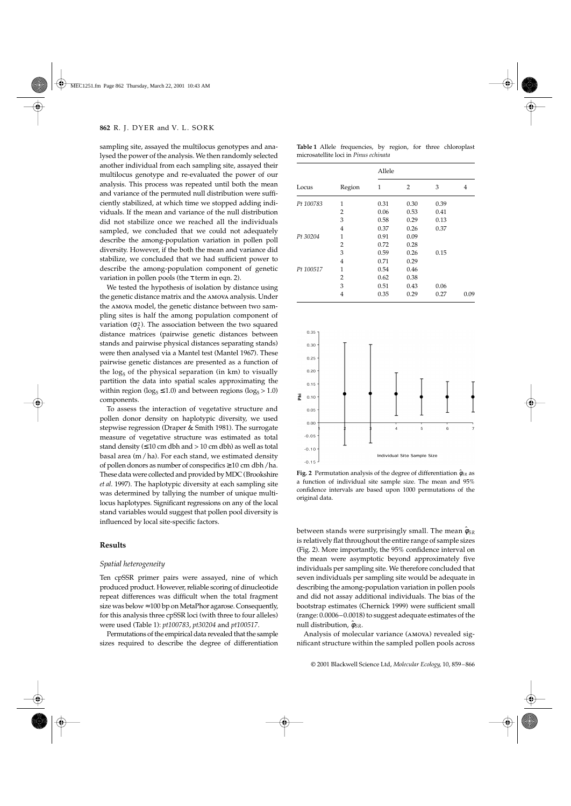sampling site, assayed the multilocus genotypes and analysed the power of the analysis. We then randomly selected another individual from each sampling site, assayed their multilocus genotype and re-evaluated the power of our analysis. This process was repeated until both the mean and variance of the permuted null distribution were sufficiently stabilized, at which time we stopped adding individuals. If the mean and variance of the null distribution did not stabilize once we reached all the individuals sampled, we concluded that we could not adequately describe the among-population variation in pollen poll diversity. However, if the both the mean and variance did stabilize, we concluded that we had sufficient power to describe the among-population component of genetic variation in pollen pools (the τ term in eqn. 2).

We tested the hypothesis of isolation by distance using the genetic distance matrix and the amova analysis. Under the amova model, the genetic distance between two sampling sites is half the among population component of variation ( $\sigma_A^2$ ). The association between the two squared distance matrices (pairwise genetic distances between stands and pairwise physical distances separating stands) were then analysed via a Mantel test (Mantel 1967). These pairwise genetic distances are presented as a function of the  $log<sub>5</sub>$  of the physical separation (in km) to visually partition the data into spatial scales approximating the within region ( $\log_5 \leq 1.0$ ) and between regions ( $\log_5 > 1.0$ ) components.

To assess the interaction of vegetative structure and pollen donor density on haplotypic diversity, we used stepwise regression (Draper & Smith 1981). The surrogate measure of vegetative structure was estimated as total stand density  $( \leq 10 \text{ cm}$  dbh and  $> 10 \text{ cm}$  dbh) as well as total basal area (m/ha). For each stand, we estimated density of pollen donors as number of conspecifics  $\geq 10$  cm dbh/ha. These data were collected and provided by MDC (Brookshire *et al*. 1997). The haplotypic diversity at each sampling site was determined by tallying the number of unique multilocus haplotypes. Significant regressions on any of the local stand variables would suggest that pollen pool diversity is influenced by local site-specific factors.

## **Results**

## *Spatial heterogeneity*

Ten cpSSR primer pairs were assayed, nine of which produced product. However, reliable scoring of dinucleotide repeat differences was difficult when the total fragment size was below  $\approx 100$  bp on MetaPhor agarose. Consequently, for this analysis three cpSSR loci (with three to four alleles) were used (Table 1): *pt100783*, *pt30204* and *pt100517*.

Permutations of the empirical data revealed that the sample sizes required to describe the degree of differentiation

**Table 1** Allele frequencies, by region, for three chloroplast microsatellite loci in *Pinus echinata*

| Locus     | Region         | Allele |                |      |      |
|-----------|----------------|--------|----------------|------|------|
|           |                | 1      | $\overline{2}$ | 3    | 4    |
| Pt 100783 | 1              | 0.31   | 0.30           | 0.39 |      |
|           | 2              | 0.06   | 0.53           | 0.41 |      |
|           | 3              | 0.58   | 0.29           | 0.13 |      |
|           | 4              | 0.37   | 0.26           | 0.37 |      |
| Pt 30204  | 1              | 0.91   | 0.09           |      |      |
|           | 2              | 0.72   | 0.28           |      |      |
|           | 3              | 0.59   | 0.26           | 0.15 |      |
|           | 4              | 0.71   | 0.29           |      |      |
| Pt 100517 | 1              | 0.54   | 0.46           |      |      |
|           | $\overline{2}$ | 0.62   | 0.38           |      |      |
|           | 3              | 0.51   | 0.43           | 0.06 |      |
|           | 4              | 0.35   | 0.29           | 0.27 | 0.09 |



Fig. 2 Permutation analysis of the degree of differentiation  $\hat{\phi}_{SR}$  as a function of individual site sample size. The mean and 95% confidence intervals are based upon 1000 permutations of the original data.

between stands were surprisingly small. The mean  $\hat{\phi}_{\mathit{SR}}$ is relatively flat throughout the entire range of sample sizes (Fig. 2). More importantly, the 95% confidence interval on the mean were asymptotic beyond approximately five individuals per sampling site. We therefore concluded that seven individuals per sampling site would be adequate in describing the among-population variation in pollen pools and did not assay additional individuals. The bias of the bootstrap estimates (Chernick 1999) were sufficient small (range: 0.0006–0.0018) to suggest adequate estimates of the null distribution,  $\hat{\phi}_{SR}$ .

Analysis of molecular variance (amova) revealed significant structure within the sampled pollen pools across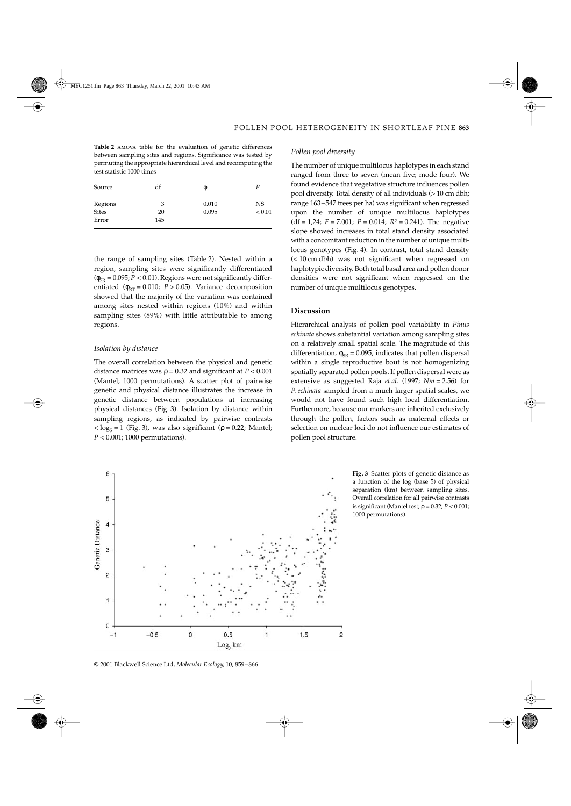**Table 2** amova table for the evaluation of genetic differences between sampling sites and regions. Significance was tested by permuting the appropriate hierarchical level and recomputing the test statistic 1000 times

| Source       | df  | Ф     | P      |
|--------------|-----|-------|--------|
| Regions      | 3   | 0.010 | NS.    |
| <b>Sites</b> | 20  | 0.095 | < 0.01 |
| Error        | 145 |       |        |

the range of sampling sites (Table 2). Nested within a region, sampling sites were significantly differentiated  $(\phi_{SR} = 0.095; P < 0.01)$ . Regions were not significantly differentiated ( $\phi_{RT}$  = 0.010; *P* > 0.05). Variance decomposition showed that the majority of the variation was contained among sites nested within regions (10%) and within sampling sites (89%) with little attributable to among regions.

## *Isolation by distance*

The overall correlation between the physical and genetic distance matrices was ρ = 0.32 and significant at *P* < 0.001 (Mantel; 1000 permutations). A scatter plot of pairwise genetic and physical distance illustrates the increase in genetic distance between populations at increasing physical distances (Fig. 3). Isolation by distance within sampling regions, as indicated by pairwise contrasts  $\langle \log_5 = 1 \rangle$  (Fig. 3), was also significant ( $\rho = 0.22$ ; Mantel; *P* < 0.001; 1000 permutations).



The number of unique multilocus haplotypes in each stand ranged from three to seven (mean five; mode four). We found evidence that vegetative structure influences pollen pool diversity. Total density of all individuals (> 10 cm dbh; range 163–547 trees per ha) was significant when regressed upon the number of unique multilocus haplotypes (df = 1,24;  $F = 7.001$ ;  $P = 0.014$ ;  $R^2 = 0.241$ ). The negative slope showed increases in total stand density associated with a concomitant reduction in the number of unique multilocus genotypes (Fig. 4). In contrast, total stand density (< 10 cm dbh) was not significant when regressed on haplotypic diversity. Both total basal area and pollen donor densities were not significant when regressed on the number of unique multilocus genotypes.

#### **Discussion**

Hierarchical analysis of pollen pool variability in *Pinus echinata* shows substantial variation among sampling sites on a relatively small spatial scale. The magnitude of this differentiation,  $\phi_{SR} = 0.095$ , indicates that pollen dispersal within a single reproductive bout is not homogenizing spatially separated pollen pools. If pollen dispersal were as extensive as suggested Raja *et al*. (1997; *Nm =* 2.56) for *P. echinata* sampled from a much larger spatial scales, we would not have found such high local differentiation. Furthermore, because our markers are inherited exclusively through the pollen, factors such as maternal effects or selection on nuclear loci do not influence our estimates of pollen pool structure.



**Fig. 3** Scatter plots of genetic distance as a function of the log (base 5) of physical separation (km) between sampling sites. Overall correlation for all pairwise contrasts is significant (Mantel test;  $\rho = 0.32$ ;  $P < 0.001$ ; 1000 permutations).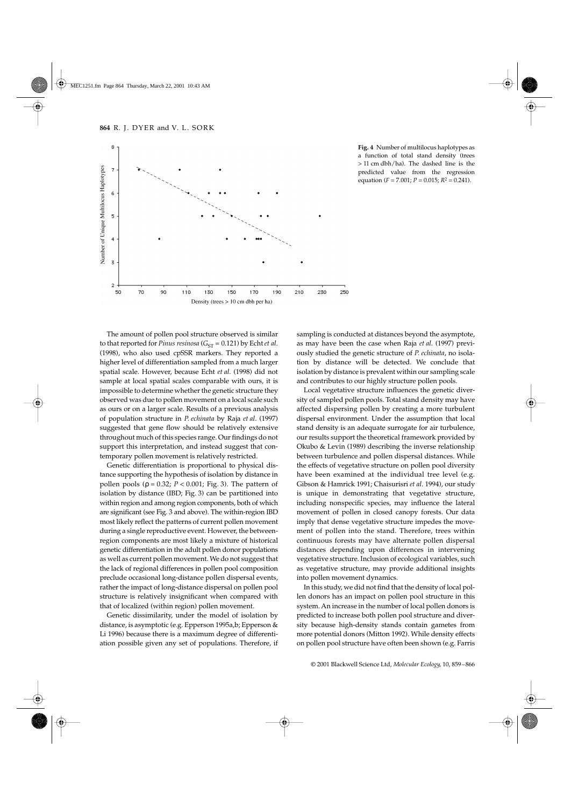

**Fig. 4** Number of multilocus haplotypes as a function of total stand density (trees > 11 cm dbh/ha). The dashed line is the predicted value from the regression equation  $(F = 7.001; P = 0.015; R^2 = 0.241)$ .

The amount of pollen pool structure observed is similar to that reported for *Pinus resinosa* ( $G_{ST}$  = 0.121) by Echt *et al*. (1998), who also used cpSSR markers. They reported a higher level of differentiation sampled from a much larger spatial scale. However, because Echt *et al*. (1998) did not sample at local spatial scales comparable with ours, it is impossible to determine whether the genetic structure they observed was due to pollen movement on a local scale such as ours or on a larger scale. Results of a previous analysis of population structure in *P. echinata* by Raja *et al*. (1997) suggested that gene flow should be relatively extensive throughout much of this species range. Our findings do not support this interpretation, and instead suggest that contemporary pollen movement is relatively restricted.

Genetic differentiation is proportional to physical distance supporting the hypothesis of isolation by distance in pollen pools (ρ = 0.32; *P* < 0.001; Fig. 3). The pattern of isolation by distance (IBD; Fig. 3) can be partitioned into within region and among region components, both of which are significant (see Fig. 3 and above). The within-region IBD most likely reflect the patterns of current pollen movement during a single reproductive event. However, the betweenregion components are most likely a mixture of historical genetic differentiation in the adult pollen donor populations as well as current pollen movement. We do not suggest that the lack of regional differences in pollen pool composition preclude occasional long-distance pollen dispersal events, rather the impact of long-distance dispersal on pollen pool structure is relatively insignificant when compared with that of localized (within region) pollen movement.

Genetic dissimilarity, under the model of isolation by distance, is asymptotic (e.g. Epperson 1995a,b; Epperson & Li 1996) because there is a maximum degree of differentiation possible given any set of populations. Therefore, if sampling is conducted at distances beyond the asymptote, as may have been the case when Raja *et al*. (1997) previously studied the genetic structure of *P. echinata*, no isolation by distance will be detected. We conclude that isolation by distance is prevalent within our sampling scale and contributes to our highly structure pollen pools.

Local vegetative structure influences the genetic diversity of sampled pollen pools. Total stand density may have affected dispersing pollen by creating a more turbulent dispersal environment. Under the assumption that local stand density is an adequate surrogate for air turbulence, our results support the theoretical framework provided by Okubo & Levin (1989) describing the inverse relationship between turbulence and pollen dispersal distances. While the effects of vegetative structure on pollen pool diversity have been examined at the individual tree level (e.g. Gibson & Hamrick 1991; Chaisurisri *et al*. 1994), our study is unique in demonstrating that vegetative structure, including nonspecific species, may influence the lateral movement of pollen in closed canopy forests. Our data imply that dense vegetative structure impedes the movement of pollen into the stand. Therefore, trees within continuous forests may have alternate pollen dispersal distances depending upon differences in intervening vegetative structure. Inclusion of ecological variables, such as vegetative structure, may provide additional insights into pollen movement dynamics.

In this study, we did not find that the density of local pollen donors has an impact on pollen pool structure in this system. An increase in the number of local pollen donors is predicted to increase both pollen pool structure and diversity because high-density stands contain gametes from more potential donors (Mitton 1992). While density effects on pollen pool structure have often been shown (e.g. Farris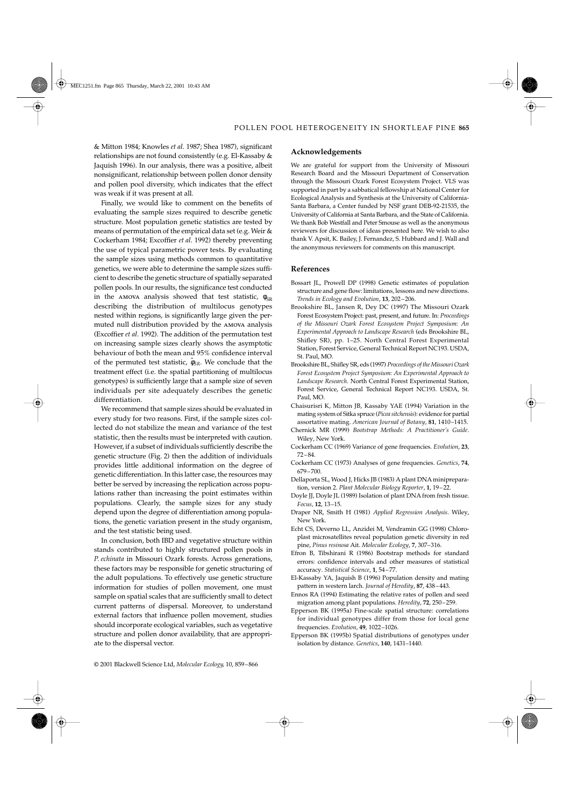& Mitton 1984; Knowles *et al*. 1987; Shea 1987), significant relationships are not found consistently (e.g. El-Kassaby & Jaquish 1996). In our analysis, there was a positive, albeit nonsignificant, relationship between pollen donor density and pollen pool diversity, which indicates that the effect was weak if it was present at all.

Finally, we would like to comment on the benefits of evaluating the sample sizes required to describe genetic structure. Most population genetic statistics are tested by means of permutation of the empirical data set (e.g. Weir & Cockerham 1984; Excoffier *et al*. 1992) thereby preventing the use of typical parametric power tests. By evaluating the sample sizes using methods common to quantitative genetics, we were able to determine the sample sizes sufficient to describe the genetic structure of spatially separated pollen pools. In our results, the significance test conducted in the AMOVA analysis showed that test statistic,  $\phi_{\text{SR}}$ describing the distribution of multilocus genotypes nested within regions, is significantly large given the permuted null distribution provided by the amova analysis (Excoffier *et al*. 1992). The addition of the permutation test on increasing sample sizes clearly shows the asymptotic behaviour of both the mean and 95% confidence interval of the permuted test statistic,  $\hat{\phi}_{SR}$ . We conclude that the treatment effect (i.e. the spatial partitioning of multilocus genotypes) is sufficiently large that a sample size of seven individuals per site adequately describes the genetic differentiation.

We recommend that sample sizes should be evaluated in every study for two reasons. First, if the sample sizes collected do not stabilize the mean and variance of the test statistic, then the results must be interpreted with caution. However, if a subset of individuals sufficiently describe the genetic structure (Fig. 2) then the addition of individuals provides little additional information on the degree of genetic differentiation. In this latter case, the resources may better be served by increasing the replication across populations rather than increasing the point estimates within populations. Clearly, the sample sizes for any study depend upon the degree of differentiation among populations, the genetic variation present in the study organism, and the test statistic being used.

In conclusion, both IBD and vegetative structure within stands contributed to highly structured pollen pools in *P. echinata* in Missouri Ozark forests. Across generations, these factors may be responsible for genetic structuring of the adult populations. To effectively use genetic structure information for studies of pollen movement, one must sample on spatial scales that are sufficiently small to detect current patterns of dispersal. Moreover, to understand external factors that influence pollen movement, studies should incorporate ecological variables, such as vegetative structure and pollen donor availability, that are appropriate to the dispersal vector.

## **Acknowledgements**

We are grateful for support from the University of Missouri Research Board and the Missouri Department of Conservation through the Missouri Ozark Forest Ecosystem Project. VLS was supported in part by a sabbatical fellowship at National Center for Ecological Analysis and Synthesis at the University of California-Santa Barbara, a Center funded by NSF grant DEB-92-21535, the University of California at Santa Barbara, and the State of California. We thank Bob Westfall and Peter Smouse as well as the anonymous reviewers for discussion of ideas presented here. We wish to also thank V. Apsit, K. Bailey, J. Fernandez, S. Hubbard and J. Wall and the anonymous reviewers for comments on this manuscript.

## **References**

- Bossart JL, Prowell DP (1998) Genetic estimates of population structure and gene flow: limitations, lessons and new directions. *Trends in Ecology and Evolution*, **13**, 202–206.
- Brookshire BL, Jansen R, Dey DC (1997) The Missouri Ozark Forest Ecosystem Project: past, present, and future. In: *Proceedings of the Missouri Ozark Forest Ecosystem Project Symposium: An Experimental Approach to Landscape Research* (eds Brookshire BL, Shifley SR), pp. 1–25. North Central Forest Experimental Station, Forest Service, General Technical Report NC193. USDA, St. Paul, MO.
- Brookshire BL, Shifley SR, eds (1997) *Proceedings of the Missouri Ozark Forest Ecosystem Project Symposium: An Experimental Approach to Landscape Research*. North Central Forest Experimental Station, Forest Service, General Technical Report NC193. USDA, St. Paul, MO.
- Chaisurisri K, Mitton JB, Kassaby YAE (1994) Variation in the mating system of Sitka spruce (*Picea sitchensis*): evidence for partial assortative mating. *American Journal of Botany*, **81**, 1410–1415.
- Chernick MR (1999) *Bootstrap Methods: A Practitioner's Guide*. Wiley, New York.
- Cockerham CC (1969) Variance of gene frequencies. *Evolution*, **23**, 72–84.
- Cockerham CC (1973) Analyses of gene frequencies. *Genetics*, **74**, 679–700.
- Dellaporta SL, Wood J, Hicks JB (1983) A plant DNA minipreparation, version 2. *Plant Molecular Biology Reporter*, **1**, 19–22.
- Doyle JJ, Doyle JL (1989) Isolation of plant DNA from fresh tissue. *Focus*, **12**, 13–15.
- Draper NR, Smith H (1981) *Applied Regression Analysis*. Wiley, New York.
- Echt CS, Deverno LL, Anzidei M, Vendramin GG (1998) Chloroplast microsatellites reveal population genetic diversity in red pine, *Pinus resinosa* Ait. *Molecular Ecology*, **7**, 307–316.
- Efron B, Tibshirani R (1986) Bootstrap methods for standard errors: confidence intervals and other measures of statistical accuracy. *Statistical Science*, **1**, 54–77.
- El-Kassaby YA, Jaquish B (1996) Population density and mating pattern in western larch. *Journal of Heredity*, **87**, 438–443.
- Ennos RA (1994) Estimating the relative rates of pollen and seed migration among plant populations. *Heredity*, **72**, 250–259.
- Epperson BK (1995a) Fine-scale spatial structure: correlations for individual genotypes differ from those for local gene frequencies. *Evolution*, **49**, 1022–1026.
- Epperson BK (1995b) Spatial distributions of genotypes under isolation by distance. *Genetics*, **140**, 1431–1440.